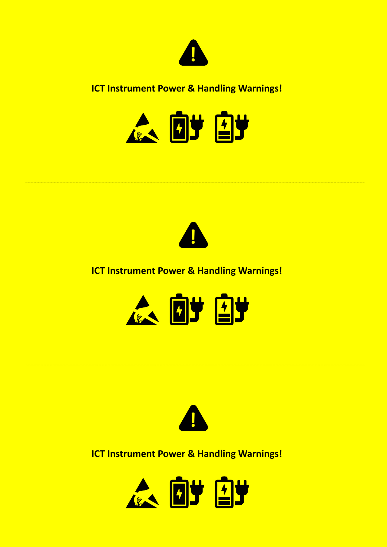

#### **ICT Instrument Power & Handling Warnings!**





#### **ICT Instrument Power & Handling Warnings!**





**ICT Instrument Power & Handling Warnings!**